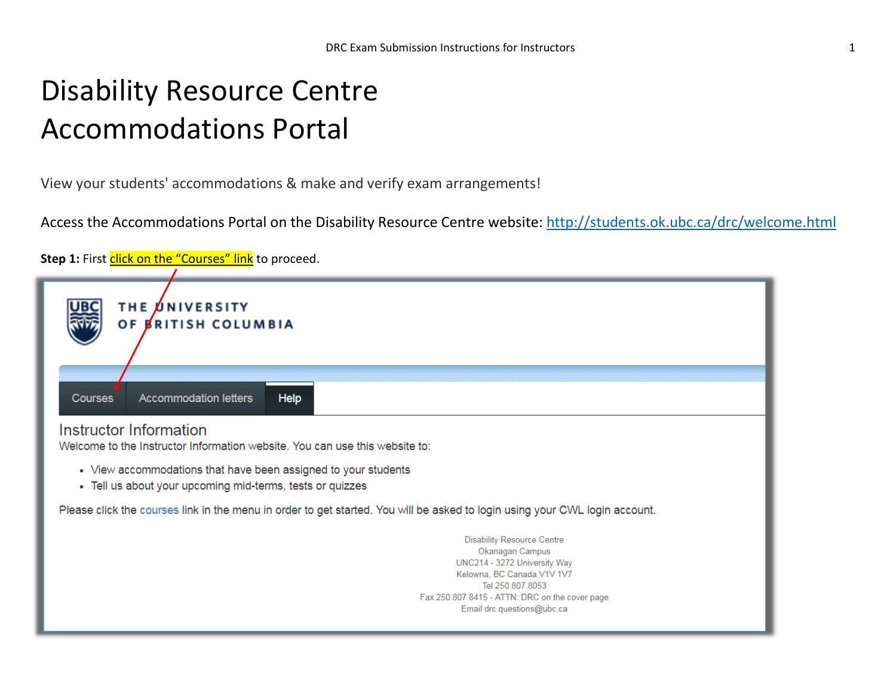## Disability Resource Centre Accommodations Portal

View your students' accommodations & make and verify exam arrangements!

Access the Accommodations Portal on the Disability Resource Centre website:<http://students.ok.ubc.ca/drc/welcome.html>

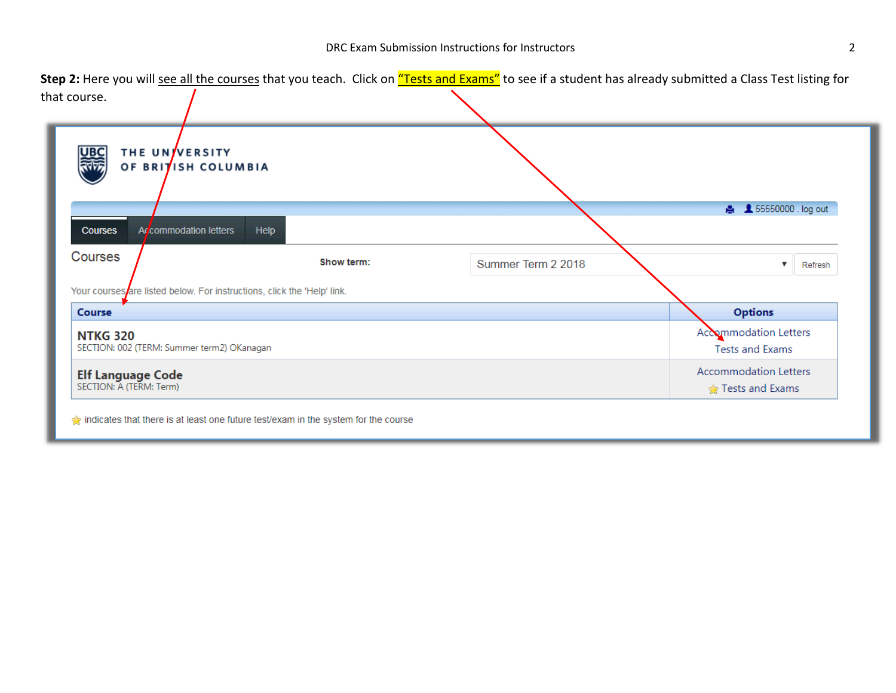Step 2:Here you will see all the coursthat you teach. Click on "Tests and Exame" see if a student has already submitted a Class Test listing for that course.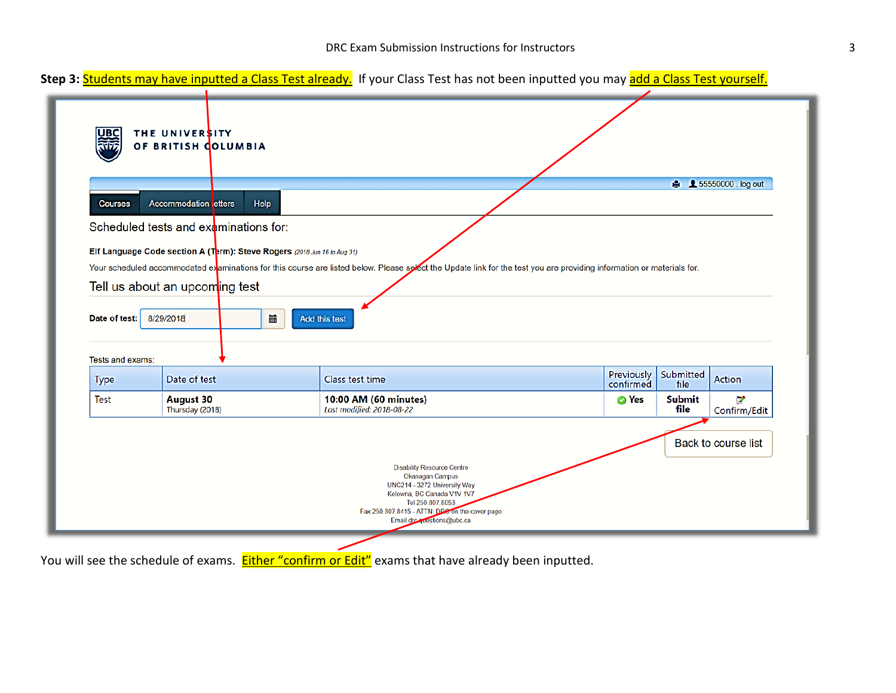

You will see the schedule of exams. Either "Confirm or Edit" exams that have already been inputted.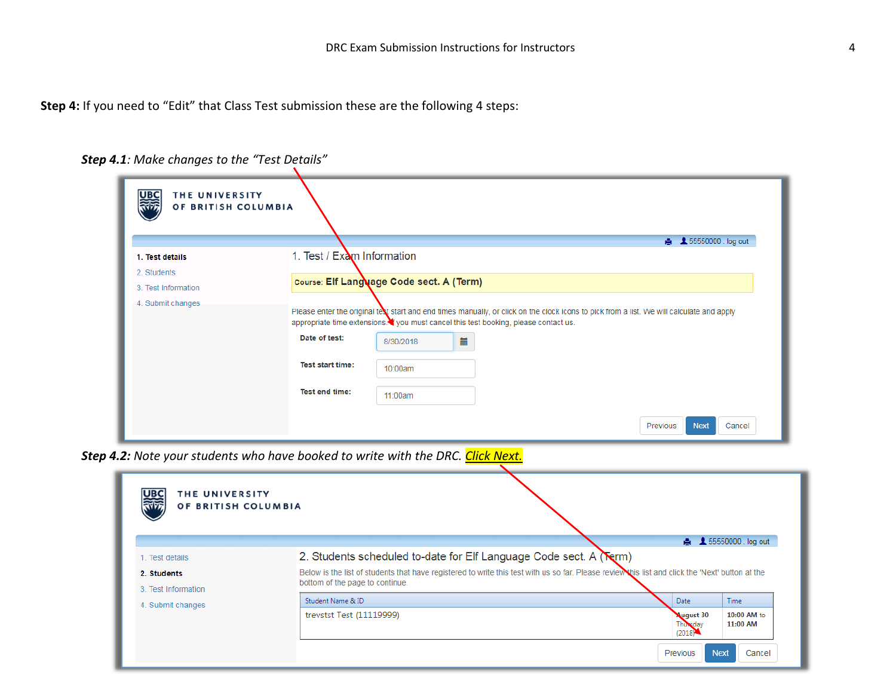**Step 4:** If you need to "Edit" that Class Test submission these are the following 4 steps:

| UBC<br>THE UNIVERSITY<br>OF BRITISH COLUMBIA |                                                 |           |                                                                                                                                                                                                                                 |                                   |
|----------------------------------------------|-------------------------------------------------|-----------|---------------------------------------------------------------------------------------------------------------------------------------------------------------------------------------------------------------------------------|-----------------------------------|
| 1. Test details                              | 1. Test / Exam Information                      |           |                                                                                                                                                                                                                                 | <b>A</b> 55550000 log out         |
| 2. Students                                  |                                                 |           |                                                                                                                                                                                                                                 |                                   |
| 3. Test Information                          | <b>Course: Elf Language Code sect. A (Term)</b> |           |                                                                                                                                                                                                                                 |                                   |
| 4. Submit changes                            |                                                 |           | Please enter the original text start and end times manually, or click on the clock icons to pick from a list. We will calculate and apply<br>appropriate time extensions. you must cancel this test booking, please contact us. |                                   |
|                                              | Date of test:                                   | 8/30/2018 | Ħ                                                                                                                                                                                                                               |                                   |
|                                              | <b>Test start time:</b>                         | 10:00am   |                                                                                                                                                                                                                                 |                                   |
|                                              | Test end time:                                  | 11:00am   |                                                                                                                                                                                                                                 |                                   |
|                                              |                                                 |           |                                                                                                                                                                                                                                 | Previous<br><b>Next</b><br>Cancel |

*Step 4.1: Make changes to the "Test Details"*

*Step 4.2: Note your students who have booked to write with the DRC. Click Next.*

| 器族<br>THE UNIVERSITY<br>OF BRITISH COLUMBIA           | <b>A</b> 165550000 log out                                                                                                                                                                                                                                |  |  |  |  |  |
|-------------------------------------------------------|-----------------------------------------------------------------------------------------------------------------------------------------------------------------------------------------------------------------------------------------------------------|--|--|--|--|--|
| 1. Test details<br>2. Students<br>3. Test Information | 2. Students scheduled to-date for Elf Language Code sect. A (Serm)<br>Below is the list of students that have registered to write this test with us so far. Please review this list and click the 'Next' button at the<br>bottom of the page to continue. |  |  |  |  |  |
| 4. Submit changes                                     | Student Name & ID<br><b>Time</b><br><b>Date</b>                                                                                                                                                                                                           |  |  |  |  |  |
|                                                       | trevstst Test (11119999)<br><b>August 30</b><br>10:00 AM to<br>11:00 AM<br>Thursday<br>(2018)                                                                                                                                                             |  |  |  |  |  |
|                                                       | <b>Next</b><br>Cancel<br>Previous                                                                                                                                                                                                                         |  |  |  |  |  |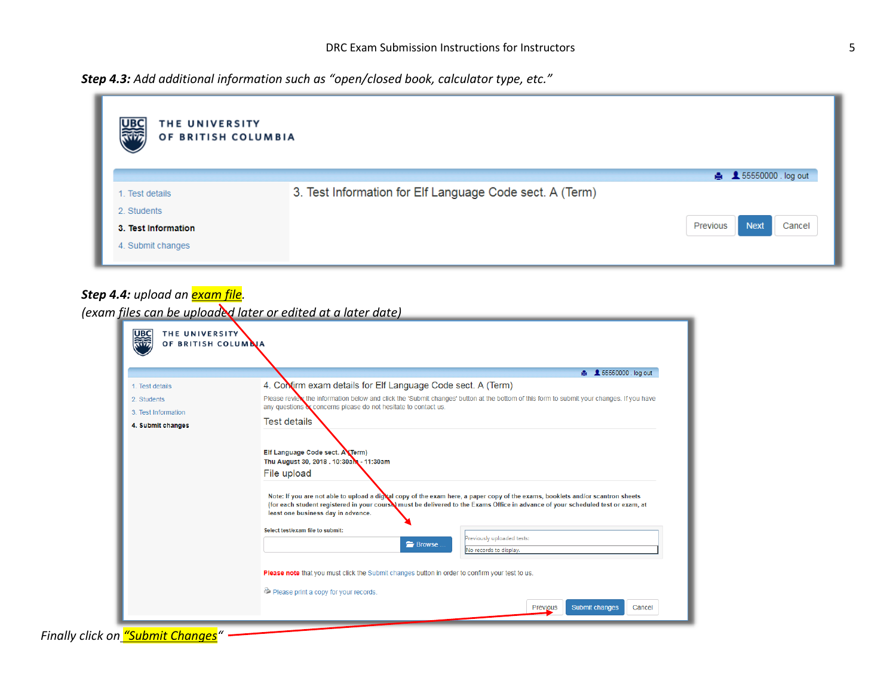*Step 4.3: Add additional information such as "open/closed book, calculator type, etc."*



## *Step 4.4: upload an exam file*.

*(exam files can be uploaded later or edited at a later date)*

|                     | <b>A</b> <u></u> £ 55550000 log out                                                                                                                                                                                                                                                                                                                                                                                                     |  |  |  |  |
|---------------------|-----------------------------------------------------------------------------------------------------------------------------------------------------------------------------------------------------------------------------------------------------------------------------------------------------------------------------------------------------------------------------------------------------------------------------------------|--|--|--|--|
| 1. Test details     | 4. Contirm exam details for Elf Language Code sect. A (Term)                                                                                                                                                                                                                                                                                                                                                                            |  |  |  |  |
| 2. Students         | Please review the information below and click the 'Submit changes' button at the bottom of this form to submit your changes. If you have<br>any questions or concerns please do not hesitate to contact us.                                                                                                                                                                                                                             |  |  |  |  |
| 3. Test Information | <b>Test details</b>                                                                                                                                                                                                                                                                                                                                                                                                                     |  |  |  |  |
|                     | Elf Language Code sect. A Term)<br>Thu August 30, 2018 . 10:30am - 11:30am                                                                                                                                                                                                                                                                                                                                                              |  |  |  |  |
|                     | File upload<br>Note: If you are not able to upload a digital copy of the exam here, a paper copy of the exams, booklets and/or scantron sheets<br>(for each student registered in your course) must be delivered to the Exams Office in advance of your scheduled test or exam, at<br>least one business day in advance.<br>Select test/exam file to submit:<br>Previously uploaded tests:<br><b>E</b> Browse<br>No records to display. |  |  |  |  |

*Finally click on "Submit Changes"*